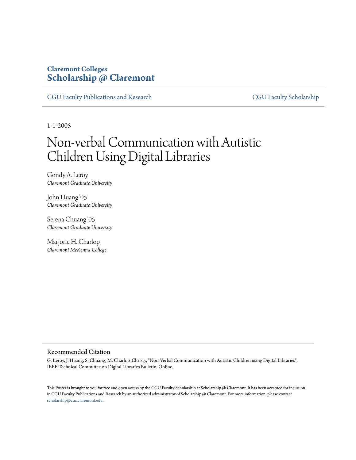## **Claremont Colleges [Scholarship @ Claremont](http://scholarship.claremont.edu)**

[CGU Faculty Publications and Research](http://scholarship.claremont.edu/cgu_fac_pub) [CGU Faculty Scholarship](http://scholarship.claremont.edu/cgu_faculty)

1-1-2005

## Non-verbal Communication with Autistic Children Using Digital Libraries

Gondy A. Leroy *Claremont Graduate University*

John Huang '05 *Claremont Graduate University*

Serena Chuang '05 *Claremont Graduate University*

Marjorie H. Charlop *Claremont McKenna College*

## Recommended Citation

G. Leroy, J. Huang, S. Chuang, M. Charlop-Christy, "Non-Verbal Communication with Autistic Children using Digital Libraries", IEEE Technical Committee on Digital Libraries Bulletin, Online.

This Poster is brought to you for free and open access by the CGU Faculty Scholarship at Scholarship @ Claremont. It has been accepted for inclusion in CGU Faculty Publications and Research by an authorized administrator of Scholarship @ Claremont. For more information, please contact [scholarship@cuc.claremont.edu.](mailto:scholarship@cuc.claremont.edu)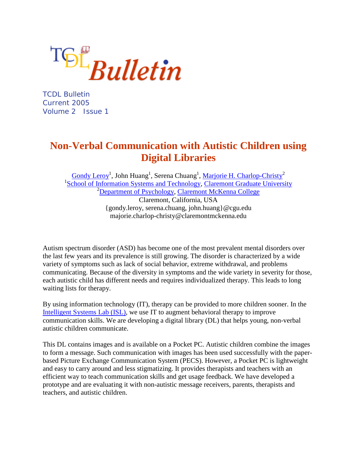TSL<sub>Bulletin</sub>

TCDL Bulletin Current 2005 Volume 2 Issue 1

## **Non-Verbal Communication with Autistic Children using Digital Libraries**

Gondy Leroy<sup>1</sup>, John Huang<sup>1</sup>, Serena Chuang<sup>1</sup>, <u>Marjorie H. Charlop-Christy</u><sup>2</sup> <sup>1</sup>[School of Information Systems and Technology,](http://www.cgu.edu/pages/153.asp) [Claremont Graduate University](http://www.cgu.edu/pages/1.asp) <sup>2</sup>[Department of Psychology,](http://psych.claremontmckenna.edu/) [Claremont McKenna College](http://www.mckenna.edu/) Claremont, California, USA {gondy.leroy, serena.chuang, john.huang}@cgu.edu majorie.charlop-christy@claremontmckenna.edu

Autism spectrum disorder (ASD) has become one of the most prevalent mental disorders over the last few years and its prevalence is still growing. The disorder is characterized by a wide variety of symptoms such as lack of social behavior, extreme withdrawal, and problems communicating. Because of the diversity in symptoms and the wide variety in severity for those, each autistic child has different needs and requires individualized therapy. This leads to long waiting lists for therapy.

By using information technology (IT), therapy can be provided to more children sooner. In the [Intelligent Systems Lab \(ISL\),](http://isl.cgu.edu/) we use IT to augment behavioral therapy to improve communication skills. We are developing a digital library (DL) that helps young, non-verbal autistic children communicate.

This DL contains images and is available on a Pocket PC. Autistic children combine the images to form a message. Such communication with images has been used successfully with the paperbased Picture Exchange Communication System (PECS). However, a Pocket PC is lightweight and easy to carry around and less stigmatizing. It provides therapists and teachers with an efficient way to teach communication skills and get usage feedback. We have developed a prototype and are evaluating it with non-autistic message receivers, parents, therapists and teachers, and autistic children.